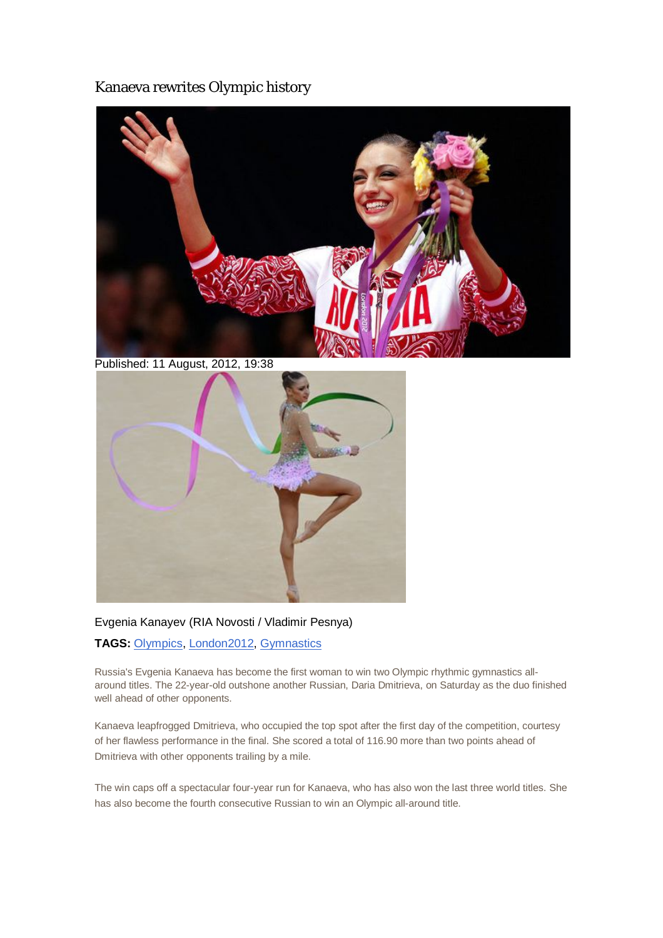## Kanaeva rewrites Olympic history



Published: 11 August, 2012, 19:38



### Evgenia Kanayev (RIA Novosti / Vladimir Pesnya)

### **TAGS:** Olympics, London2012, Gymnastics

Russia's Evgenia Kanaeva has become the first woman to win two Olympic rhythmic gymnastics allaround titles. The 22-year-old outshone another Russian, Daria Dmitrieva, on Saturday as the duo finished well ahead of other opponents.

Kanaeva leapfrogged Dmitrieva, who occupied the top spot after the first day of the competition, courtesy of her flawless performance in the final. She scored a total of 116.90 more than two points ahead of Dmitrieva with other opponents trailing by a mile.

The win caps off a spectacular four-year run for Kanaeva, who has also won the last three world titles. She has also become the fourth consecutive Russian to win an Olympic all-around title.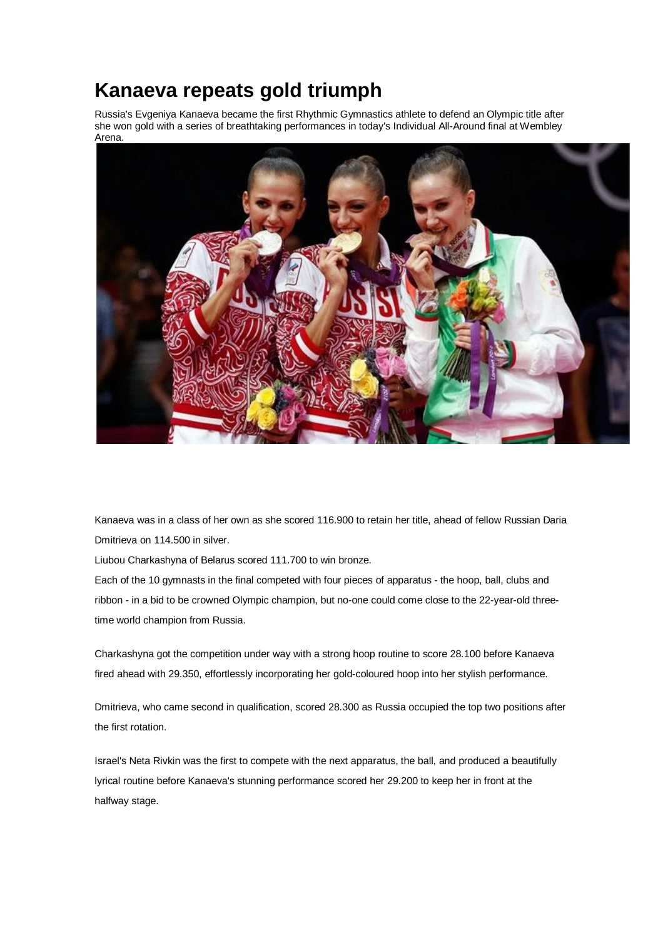# **Kanaeva repeats gold triumph**

Russia's Evgeniya Kanaeva became the first Rhythmic Gymnastics athlete to defend an Olympic title after she won gold with a series of breathtaking performances in today's Individual All-Around final at Wembley Arena.



Kanaeva was in a class of her own as she scored 116.900 to retain her title, ahead of fellow Russian Daria Dmitrieva on 114.500 in silver.

Liubou Charkashyna of Belarus scored 111.700 to win bronze.

Each of the 10 gymnasts in the final competed with four pieces of apparatus - the hoop, ball, clubs and ribbon - in a bid to be crowned Olympic champion, but no-one could come close to the 22-year-old threetime world champion from Russia.

Charkashyna got the competition under way with a strong hoop routine to score 28.100 before Kanaeva fired ahead with 29.350, effortlessly incorporating her gold-coloured hoop into her stylish performance.

Dmitrieva, who came second in qualification, scored 28.300 as Russia occupied the top two positions after the first rotation.

Israel's Neta Rivkin was the first to compete with the next apparatus, the ball, and produced a beautifully lyrical routine before Kanaeva's stunning performance scored her 29.200 to keep her in front at the halfway stage.